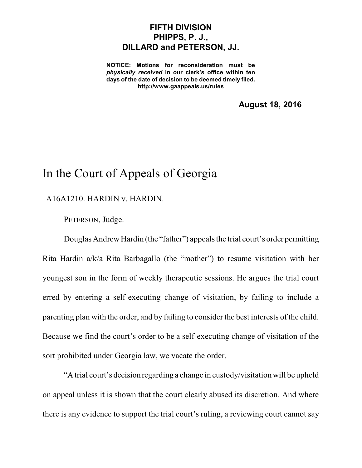## **FIFTH DIVISION PHIPPS, P. J., DILLARD and PETERSON, JJ.**

**NOTICE: Motions for reconsideration must be** *physically received* **in our clerk's office within ten days of the date of decision to be deemed timely filed. http://www.gaappeals.us/rules**

**August 18, 2016**

## In the Court of Appeals of Georgia

## A16A1210. HARDIN v. HARDIN.

PETERSON, Judge.

Douglas Andrew Hardin (the "father") appeals the trial court's order permitting Rita Hardin a/k/a Rita Barbagallo (the "mother") to resume visitation with her youngest son in the form of weekly therapeutic sessions. He argues the trial court erred by entering a self-executing change of visitation, by failing to include a parenting plan with the order, and by failing to consider the best interests of the child. Because we find the court's order to be a self-executing change of visitation of the sort prohibited under Georgia law, we vacate the order.

"A trial court's decision regarding a change in custody/visitation will be upheld on appeal unless it is shown that the court clearly abused its discretion. And where there is any evidence to support the trial court's ruling, a reviewing court cannot say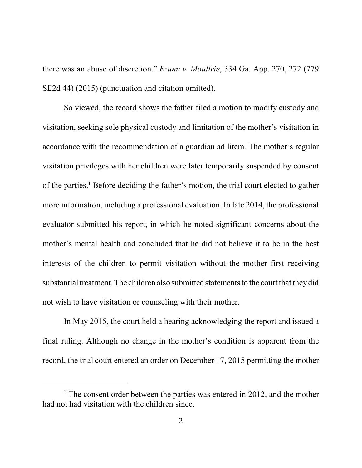there was an abuse of discretion." *Ezunu v. Moultrie*, 334 Ga. App. 270, 272 (779 SE2d 44) (2015) (punctuation and citation omitted).

So viewed, the record shows the father filed a motion to modify custody and visitation, seeking sole physical custody and limitation of the mother's visitation in accordance with the recommendation of a guardian ad litem. The mother's regular visitation privileges with her children were later temporarily suspended by consent of the parties. <sup>1</sup> Before deciding the father's motion, the trial court elected to gather more information, including a professional evaluation. In late 2014, the professional evaluator submitted his report, in which he noted significant concerns about the mother's mental health and concluded that he did not believe it to be in the best interests of the children to permit visitation without the mother first receiving substantial treatment. The children also submitted statements to the court that they did not wish to have visitation or counseling with their mother.

In May 2015, the court held a hearing acknowledging the report and issued a final ruling. Although no change in the mother's condition is apparent from the record, the trial court entered an order on December 17, 2015 permitting the mother

 $1$ <sup>1</sup> The consent order between the parties was entered in 2012, and the mother had not had visitation with the children since.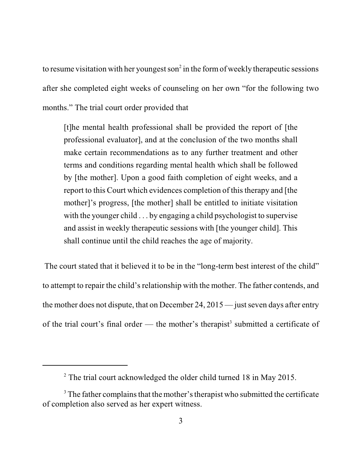to resume visitation with her youngest son<sup>2</sup> in the form of weekly therapeutic sessions after she completed eight weeks of counseling on her own "for the following two months." The trial court order provided that

[t]he mental health professional shall be provided the report of [the professional evaluator], and at the conclusion of the two months shall make certain recommendations as to any further treatment and other terms and conditions regarding mental health which shall be followed by [the mother]. Upon a good faith completion of eight weeks, and a report to this Court which evidences completion of this therapy and [the mother]'s progress, [the mother] shall be entitled to initiate visitation with the younger child . . . by engaging a child psychologist to supervise and assist in weekly therapeutic sessions with [the younger child]. This shall continue until the child reaches the age of majority.

The court stated that it believed it to be in the "long-term best interest of the child" to attempt to repair the child's relationship with the mother. The father contends, and the mother does not dispute, that on December 24,  $2015$  — just seven days after entry of the trial court's final order — the mother's therapist<sup>3</sup> submitted a certificate of

<sup>&</sup>lt;sup>2</sup> The trial court acknowledged the older child turned 18 in May 2015.

 $3$  The father complains that the mother's therapist who submitted the certificate of completion also served as her expert witness.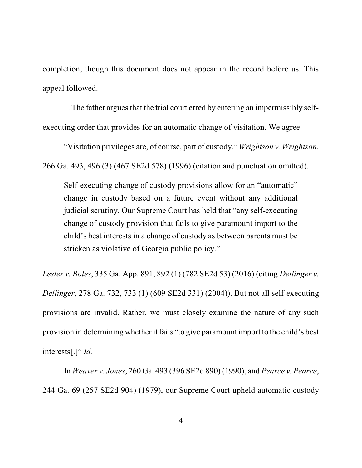completion, though this document does not appear in the record before us. This appeal followed.

1. The father argues that the trial court erred by entering an impermissibly selfexecuting order that provides for an automatic change of visitation. We agree.

"Visitation privileges are, of course, part of custody." *Wrightson v. Wrightson*, 266 Ga. 493, 496 (3) (467 SE2d 578) (1996) (citation and punctuation omitted).

Self-executing change of custody provisions allow for an "automatic" change in custody based on a future event without any additional judicial scrutiny. Our Supreme Court has held that "any self-executing change of custody provision that fails to give paramount import to the child's best interests in a change of custody as between parents must be stricken as violative of Georgia public policy."

*Lester v. Boles*, 335 Ga. App. 891, 892 (1) (782 SE2d 53) (2016) (citing *Dellinger v. Dellinger*, 278 Ga. 732, 733 (1) (609 SE2d 331) (2004)). But not all self-executing provisions are invalid. Rather, we must closely examine the nature of any such provision in determining whether it fails "to give paramount import to the child's best interests[.]" *Id.*

In *Weaver v. Jones*, 260 Ga. 493 (396 SE2d 890) (1990), and *Pearce v. Pearce*, 244 Ga. 69 (257 SE2d 904) (1979), our Supreme Court upheld automatic custody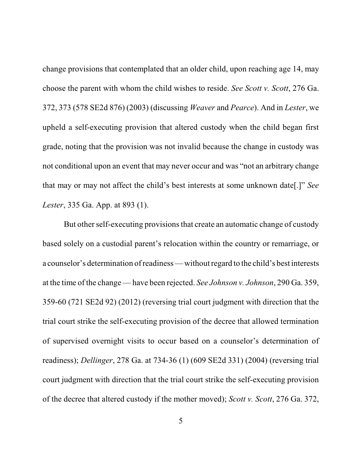change provisions that contemplated that an older child, upon reaching age 14, may choose the parent with whom the child wishes to reside. *See Scott v. Scott*, 276 Ga. 372, 373 (578 SE2d 876) (2003) (discussing *Weaver* and *Pearce*). And in *Lester*, we upheld a self-executing provision that altered custody when the child began first grade, noting that the provision was not invalid because the change in custody was not conditional upon an event that may never occur and was "not an arbitrary change that may or may not affect the child's best interests at some unknown date[.]" *See Lester*, 335 Ga. App. at 893 (1).

But other self-executing provisions that create an automatic change of custody based solely on a custodial parent's relocation within the country or remarriage, or a counselor's determination of readiness—without regard to the child's best interests at the time of the change — have been rejected. *See Johnson v. Johnson*, 290 Ga. 359, 359-60 (721 SE2d 92) (2012) (reversing trial court judgment with direction that the trial court strike the self-executing provision of the decree that allowed termination of supervised overnight visits to occur based on a counselor's determination of readiness); *Dellinger*, 278 Ga. at 734-36 (1) (609 SE2d 331) (2004) (reversing trial court judgment with direction that the trial court strike the self-executing provision of the decree that altered custody if the mother moved); *Scott v. Scott*, 276 Ga. 372,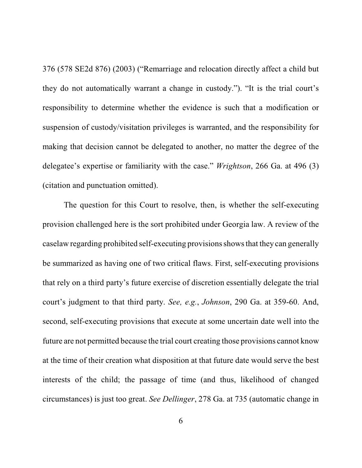376 (578 SE2d 876) (2003) ("Remarriage and relocation directly affect a child but they do not automatically warrant a change in custody."). "It is the trial court's responsibility to determine whether the evidence is such that a modification or suspension of custody/visitation privileges is warranted, and the responsibility for making that decision cannot be delegated to another, no matter the degree of the delegatee's expertise or familiarity with the case." *Wrightson*, 266 Ga. at 496 (3) (citation and punctuation omitted).

The question for this Court to resolve, then, is whether the self-executing provision challenged here is the sort prohibited under Georgia law. A review of the caselaw regarding prohibited self-executing provisionsshowsthat they can generally be summarized as having one of two critical flaws. First, self-executing provisions that rely on a third party's future exercise of discretion essentially delegate the trial court's judgment to that third party. *See, e.g.*, *Johnson*, 290 Ga. at 359-60. And, second, self-executing provisions that execute at some uncertain date well into the future are not permitted because the trial court creating those provisions cannot know at the time of their creation what disposition at that future date would serve the best interests of the child; the passage of time (and thus, likelihood of changed circumstances) is just too great. *See Dellinger*, 278 Ga. at 735 (automatic change in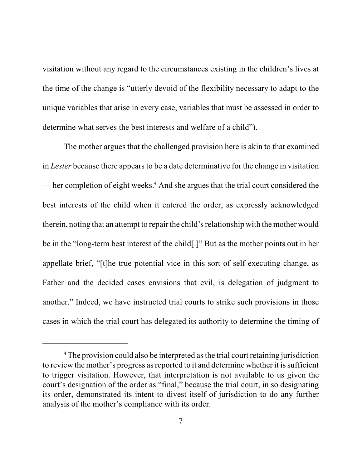visitation without any regard to the circumstances existing in the children's lives at the time of the change is "utterly devoid of the flexibility necessary to adapt to the unique variables that arise in every case, variables that must be assessed in order to determine what serves the best interests and welfare of a child").

The mother argues that the challenged provision here is akin to that examined in *Lester* because there appears to be a date determinative for the change in visitation — her completion of eight weeks. <sup>4</sup> And she argues that the trial court considered the best interests of the child when it entered the order, as expressly acknowledged therein, noting that an attempt to repair the child'srelationship with the mother would be in the "long-term best interest of the child[.]" But as the mother points out in her appellate brief, "[t]he true potential vice in this sort of self-executing change, as Father and the decided cases envisions that evil, is delegation of judgment to another." Indeed, we have instructed trial courts to strike such provisions in those cases in which the trial court has delegated its authority to determine the timing of

<sup>&</sup>lt;sup>4</sup> The provision could also be interpreted as the trial court retaining jurisdiction to review the mother's progress as reported to it and determine whether it is sufficient to trigger visitation. However, that interpretation is not available to us given the court's designation of the order as "final," because the trial court, in so designating its order, demonstrated its intent to divest itself of jurisdiction to do any further analysis of the mother's compliance with its order.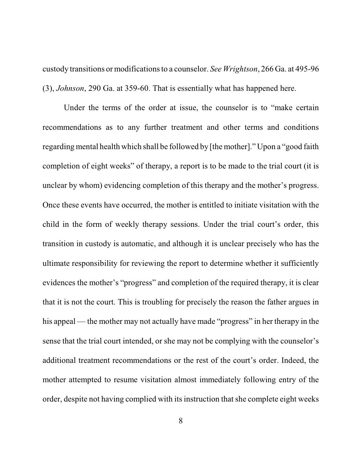custody transitions or modificationsto a counselor. *See Wrightson*, 266 Ga. at 495-96 (3), *Johnson*, 290 Ga. at 359-60. That is essentially what has happened here.

Under the terms of the order at issue, the counselor is to "make certain recommendations as to any further treatment and other terms and conditions regarding mental health which shall be followed by [the mother]." Upon a "good faith completion of eight weeks" of therapy, a report is to be made to the trial court (it is unclear by whom) evidencing completion of this therapy and the mother's progress. Once these events have occurred, the mother is entitled to initiate visitation with the child in the form of weekly therapy sessions. Under the trial court's order, this transition in custody is automatic, and although it is unclear precisely who has the ultimate responsibility for reviewing the report to determine whether it sufficiently evidences the mother's "progress" and completion of the required therapy, it is clear that it is not the court. This is troubling for precisely the reason the father argues in his appeal — the mother may not actually have made "progress" in her therapy in the sense that the trial court intended, or she may not be complying with the counselor's additional treatment recommendations or the rest of the court's order. Indeed, the mother attempted to resume visitation almost immediately following entry of the order, despite not having complied with its instruction that she complete eight weeks